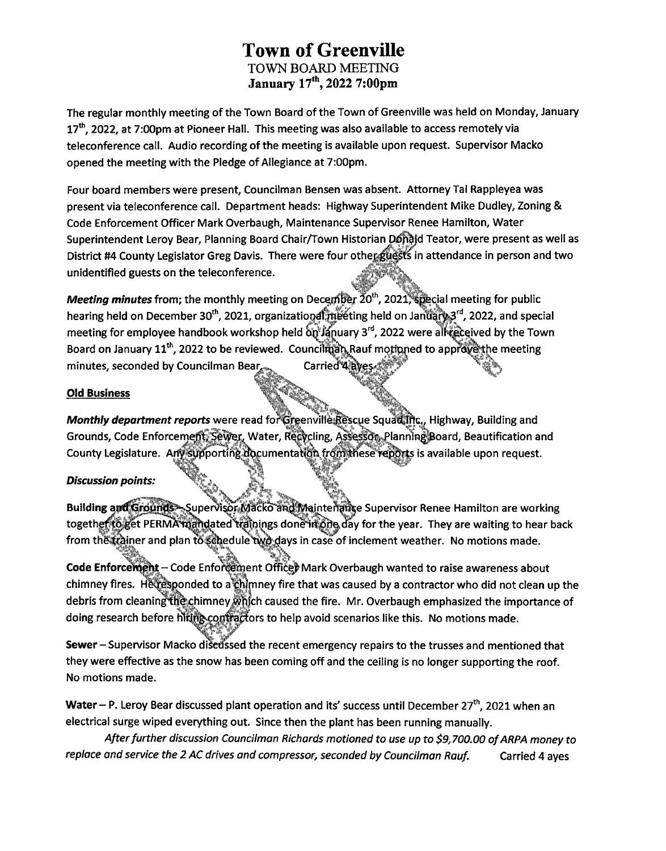## **Town of Greenville TOWN BOARD MEETING January 17th, 2022 7:00pm**

The regular monthly meeting of the Town Board of the Town of Greenville was held on Monday, January 17<sup>th</sup>, 2022, at 7:00pm at Pioneer Hall. This meeting was also available to access remotely via teleconference call. Audio recording of the meeting is available upon request. Supervisor Macko opened the meeting with the Pledge of Allegiance at 7:00pm.

Four board members were present, Councilman Bensen was absent. Attorney Tal Rappleyea was present via teleconference call. Department heads: Highway Superintendent Mike Dudley, Zoning & Code Enforcement Officer Mark Overbaugh, Maintenance Supervisor Renee Hamilton, Water Superintendent Leroy Bear, Planning Board Chair/Town Historian Donald Teator, were present as well as District #4 County Legislator Greg Davis. There were four other guests in attendance in person and two unidentified guests on the teleconference.

*Meeting minutes* **from; the monthly meeting on December 20<sup>th</sup>, 2021, Special meeting for public** hearing held on December 30<sup>th</sup>, 2021, organizational **index** field on January 3<sup>rd</sup>, 2022, and special meeting for employee handbook workshop held  $\delta n$  January 3<sup>rd</sup>, 2022 were all received by the Town **the string for simple year intersect.** Wo have private suppose the set of the more simple we say that for the me<br>Board on January 11<sup>th</sup>, 2022 to be reviewed. Councilmain Rauf motioned to approve the meeting minutes, seconded by Councilman Bear Carried<sup>\*</sup>4

### Old Business

Monthly department reports were read for Greenville Rescue Squadlifts, Highway, Building and Grounds, Code Enforcement, Sewer, Water, Recycling, Assessor, Planning Board, Beautification and County Legislature. Any supporting documentation from these reports is available upon request.

### *Discussion points:*

Building; "jjrx w bunding and should send the way wacko and wall tenance supervisor Renee Hamilton are working<br>together to get PERMA mand dated trainings done in one of your the year. They are waiting to hear back <mark>rounds</mark>—Supervisor,Macko andliviaintenalise Supervisor Renee Hamilton are working from the trainer and plan to schedule two days in case of inclement weather. No motions made.

*§*

Code Enforcement – Code Enforcement Office) Mark Overbaugh wanted to raise awareness about code Emorcentent Code Emorcement Ontegrivant Overbadgh wanted to raise awareness about<br>chimney fires. Het esponded to a chimney fire that was caused by a contractor who did not clean up the debris from cleaning the chimney which caused the fire. Mr. Overbaugh emphasized the importance of doing research before hiting contractors to help avoid scenarios like this. No motions made.

Sewer-Supervisor Macko discussed the recent emergency repairs to the trusses and mentioned that they were effective as the snow has been coming off and the ceiling is no longer supporting the roof. No motions made.

Water - P. Leroy Bear discussed plant operation and its' success until December 27<sup>th</sup>, 2021 when an electrical surge wiped everything out. Since then the plant has been running manually.

*Afterfurther discussion Councilman Richards motioned to use up to \$9,700.00 ofARPA money to replace and service the 2 AC drives and compressor, seconded by Councilman Rauf.* Carried 4 ayes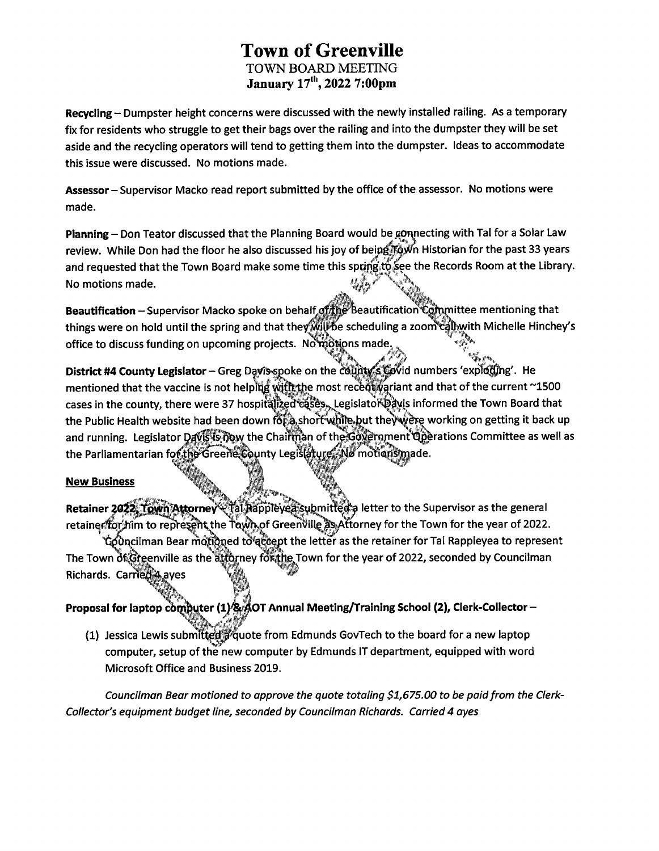# **Town of Greenville TOWN BOARD MEETING January 17th, 2022 7:00pm**

**Recycling - Dumpster height concerns were discussed with the newly installed railing. As <sup>a</sup> temporary** fix for residents who struggle to get their bags over the railing and into the dumpster they will be set **aside and the recycling operators will tend to getting them into the dumpster. Ideas to accommodate this issue were discussed. No motions made.**

**Assessor -Supervisor Macko read report submitted by the office ofthe assessor. No motions were made.**

**Planning-Don Teator discussed that the Planning Board would be^On^iecting with Tal for a Solar Law** review. While Don had the floor he also discussed his joy of being Town Historian for the past 33 years **and requested that the Town Board make some time this sppjrigito(&pe the Records Room at the Library. No motions made.**

**Beautification -Supervisor Macko spoke on behalf of tlj^ feeautification Cofnmittee mentioning that things were on hold until the spring and that the^f|||%ie scheduling a zoom^||j«|vith Michelle Hinche/s office** to discuss funding on upcoming projects. Nothions made.

**District #4 County Legislator - Greg DayiS^||oke on the c^|k|^^bvid numbers 'expldpig'. He mentioned that the vaccine is not helpWwlltafte most recef|ll|ariant and that of the current ~1500 cases in the county, there were 37 hospitfflfjecr^^JLegislatol^^s informed the Town Board that the Public Health website had been down ra|^,shoff^|tte»|?ut theV'l^ working on getting it back up and running. Legislator <sup>I</sup> jislator Daffif^w the Chaiffifcm ofthe^^rmnenf^rati rations Committee as well as** the Parliamentarian fof the Greene County Legislature. No motions made.

### **New Business**

**Retainer 2022, Town Attorney (18) Rappley all submitted a letter to the Supervisor as the general V ttorney for the Town for the year of 2022.**

**ipcilman Bear md|ihqed to^ at the letter as the retainer for Tal Rappleyea to represent The Town of.HGreenville as the i|fc|rney fc (Town for the year of 2022, seconded by Councilman wti Richards. Carried A aves** 

**1**X% **Proposal for laptop c OT Annual Meeting/Training School (2), Clerk-Collector-**

**(1) Jessica Lewis submitt^di^uote from Edmunds GovTech to the board for a new laptop computer, setup of the new computer by Edmunds IT department, equipped with word Microsoft Office and Business 2019.**

*Councilman Bear motioned to approve the quote totaling \$1,675.00 to be paidfrom the Clerk-Collector's equipment budget line, seconded by Councilman Richards. Carried 4 ayes*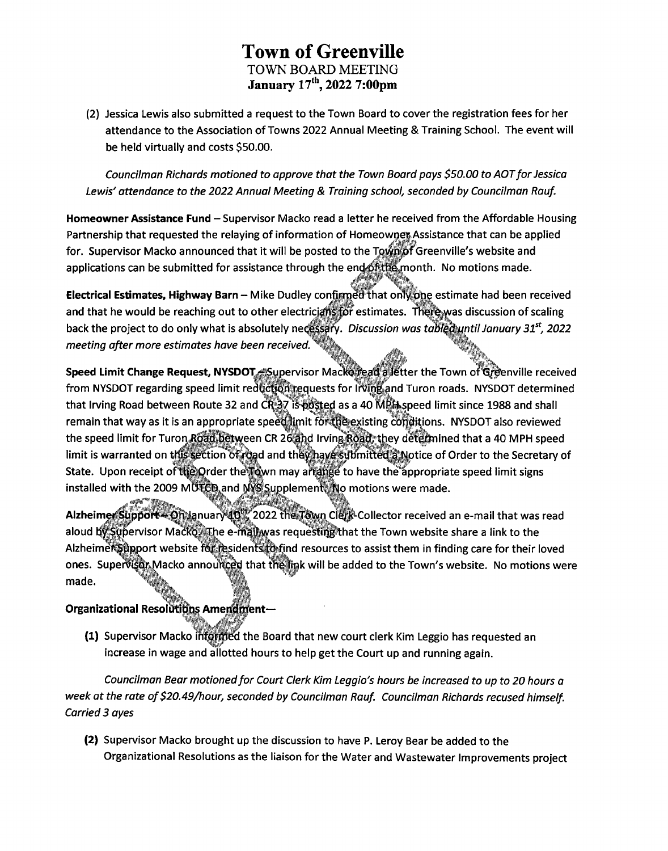# **Town of Greenville TOWN BOARD MEETING January 17th, 2022 7:00pm**

(2) Jessica Lewis also submitted a request to the Town Board to cover the registration fees for her **attendance to the Association of Towns 2022 Annual Meeting & Training School. The event will be held virtually and costs \$50.00.**

*Councilman Richards motioned to approve that the Town Board pays \$50.00 to AOTfor Jessica Lewis' attendance to the 2022 Annual Meeting & Training school, seconded by Councilman Rauf.*

**Homeowner Assistance Fund -Supervisor Macko read <sup>a</sup> letter he received from the Affordable Housing Partnership that requested the relaying of information of Homeowner Assistance that can be applied for. Supervisor Macko announced that it will be posted to the Greenville's website and applications can be submitted for assistance through the en\_"\_r".** /gp **month. No motions made.**

**Electrical Estimates, Highway Barn - Mike Dudley confirmeci that on OTe estimate had been received and that he would be reaching out to other electricians for estimates. There was discussion of scaling back the project to do only what is absolutely necessary.** *Discussion was tabiqjdiuntil January 31 , 2022 meeting after more estimates have been received,*

**Speed Limit Change Request, NYSDOT Supervisor Macko repelp'JJetter the Town of'tSrdfenville received** Speed Limit Change Request, NYSDOT, "Supervisor Macke read" a letter the Town of Greenville receiver<br>from NYSDOT regarding speed limit reduction requests for Irving, and Turon roads. NYSDOT determined that Irving Road between Route 32 and CR 37 is posted as a 40 MPH speed limit since 1988 and shall **remain that way as it is an appropriate spee&limit foripfeexisting coriditions. NYSDOT also reviewed** remain that way as it is an appropriate speed limit for the existing conditions. NYSDOT also reviewed<br>the speed limit for Turon,Roan between CR 26, and Irving Road; they determined that a 40 MPH speed **limit** is warranted on this section of road and they have submitted a Notice of Order to the Secretary of **State.** Upon receipt of the Qrder the Town may ariange to have the appropriate speed limit signs **installed with the 2009 MG&FCtSland piemen motions were made.**

**requestu ithat the Town website share a link to the Alzheime sidenfs'^b|||nd resources to assist them in finding care for their loved**  $\alpha$  ones. Supervisting Macko announced that the link will be added to the Town's website. No motions were **made. f** Alzheimer Support - On lanuary 10 . 2022 the Town Clerk-Collector received an e-mail that was read

### **Organizational Resoldtidps Amendment—**

**(1) Supervisor Macko (named the Board that new court clerk Kim Leggio has requested an increase in wage and allotted hours to help get the Court up and running again.**

*Councilman Bear motionedfor Court Clerk Kim Leggio's hours be increased to up to 20 hours a week at the rate of\$20.49/hour, seconded by Councilman Rauf. Councilman Richards recused himself. Carried 3 ayes*

**(2) Supervisor Macko brought up the discussion to have P. Leroy Bear be added to the Organizational Resolutions as the liaison for the Water and Wastewater Improvements project**